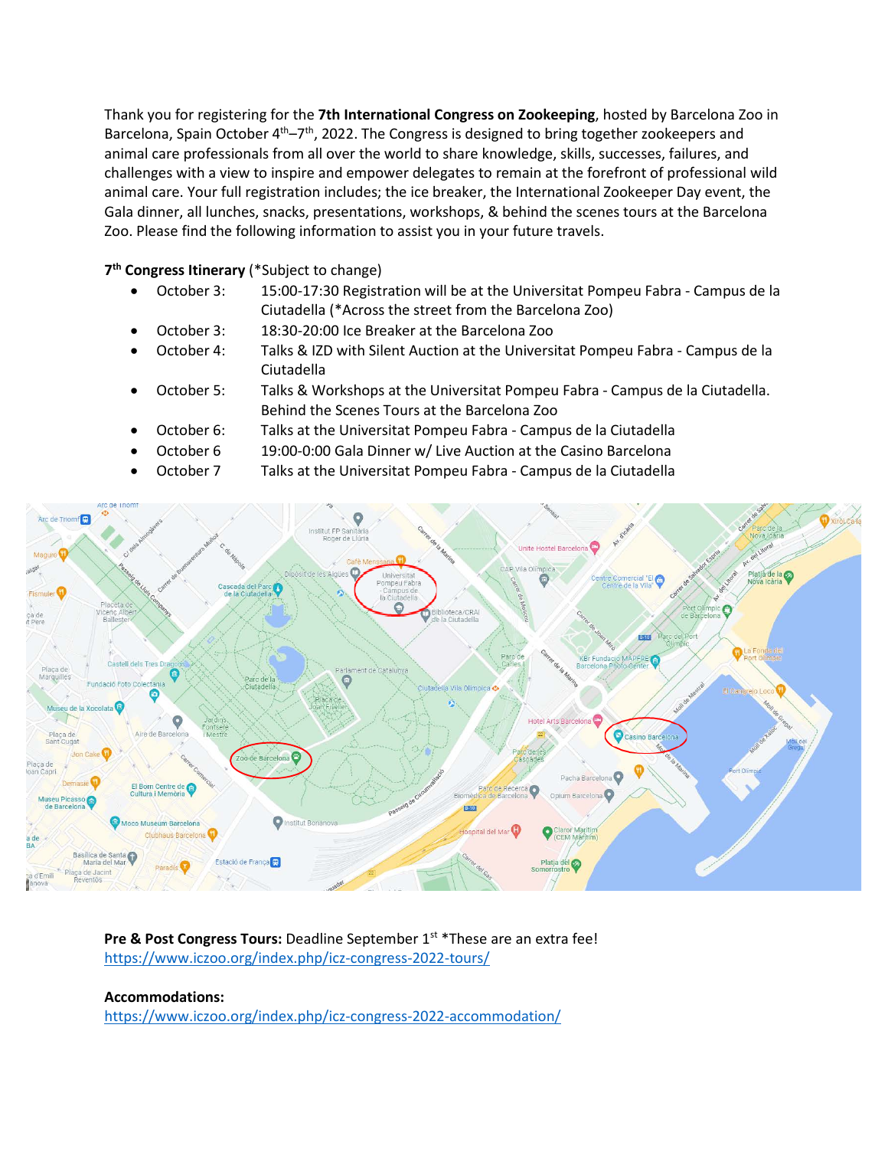Thank you for registering for the **7th International Congress on Zookeeping**, hosted by Barcelona Zoo in Barcelona, Spain October 4<sup>th</sup>–7<sup>th</sup>, 2022. The Congress is designed to bring together zookeepers and animal care professionals from all over the world to share knowledge, skills, successes, failures, and challenges with a view to inspire and empower delegates to remain at the forefront of professional wild animal care. Your full registration includes; the ice breaker, the International Zookeeper Day event, the Gala dinner, all lunches, snacks, presentations, workshops, & behind the scenes tours at the Barcelona Zoo. Please find the following information to assist you in your future travels.

## **7th Congress Itinerary** (\*Subject to change)

- October 3: 15:00-17:30 Registration will be at the Universitat Pompeu Fabra Campus de la Ciutadella (\*Across the street from the Barcelona Zoo)
- October 3: 18:30-20:00 Ice Breaker at the Barcelona Zoo
- October 4: Talks & IZD with Silent Auction at the Universitat Pompeu Fabra Campus de la Ciutadella
- October 5: Talks & Workshops at the Universitat Pompeu Fabra Campus de la Ciutadella. Behind the Scenes Tours at the Barcelona Zoo
- October 6: Talks at the Universitat Pompeu Fabra Campus de la Ciutadella
- October 6 19:00-0:00 Gala Dinner w/ Live Auction at the Casino Barcelona
- October 7 Talks at the Universitat Pompeu Fabra Campus de la Ciutadella



**Pre & Post Congress Tours:** Deadline September 1<sup>st</sup> \*These are an extra fee! <https://www.iczoo.org/index.php/icz-congress-2022-tours/>

## **Accommodations:**

<https://www.iczoo.org/index.php/icz-congress-2022-accommodation/>